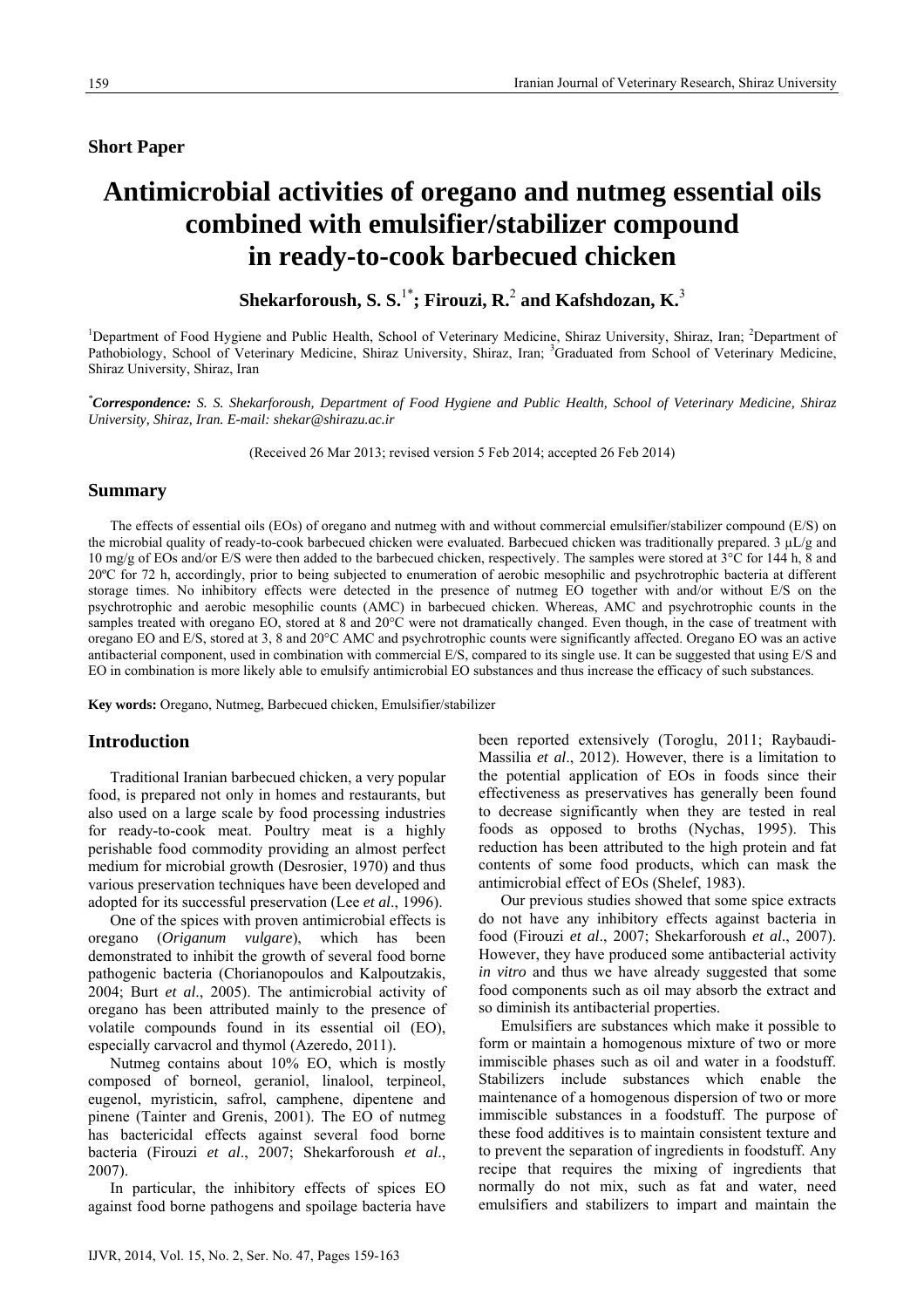# **Short Paper**

# **Antimicrobial activities of oregano and nutmeg essential oils combined with emulsifier/stabilizer compound in ready-to-cook barbecued chicken**

 $\mathbf S$ hekarforoush,  $\mathbf S$ .  $\mathbf S^{1^*}$ ; Firouzi,  $\mathbf R^{2}$  and Kafshdozan,  $\mathbf K^{3^*}$ 

<sup>1</sup>Department of Food Hygiene and Public Health, School of Veterinary Medicine, Shiraz University, Shiraz, Iran; <sup>2</sup>Department of Pathobiology, School of Veterinary Medicine, Shiraz University, Shiraz, Iran; <sup>3</sup>Graduated from School of Veterinary Medicine, Shiraz University, Shiraz, Iran

*\* Correspondence: S. S. Shekarforoush, Department of Food Hygiene and Public Health, School of Veterinary Medicine, Shiraz University, Shiraz, Iran. E-mail: shekar@shirazu.ac.ir* 

(Received 26 Mar 2013; revised version 5 Feb 2014; accepted 26 Feb 2014)

## **Summary**

The effects of essential oils (EOs) of oregano and nutmeg with and without commercial emulsifier/stabilizer compound (E/S) on the microbial quality of ready-to-cook barbecued chicken were evaluated. Barbecued chicken was traditionally prepared. 3 µL/g and 10 mg/g of EOs and/or E/S were then added to the barbecued chicken, respectively. The samples were stored at  $3^{\circ}$ C for 144 h, 8 and 20ºC for 72 h, accordingly, prior to being subjected to enumeration of aerobic mesophilic and psychrotrophic bacteria at different storage times. No inhibitory effects were detected in the presence of nutmeg EO together with and/or without E/S on the psychrotrophic and aerobic mesophilic counts (AMC) in barbecued chicken. Whereas, AMC and psychrotrophic counts in the samples treated with oregano EO, stored at 8 and 20°C were not dramatically changed. Even though, in the case of treatment with oregano EO and E/S, stored at 3, 8 and 20°C AMC and psychrotrophic counts were significantly affected. Oregano EO was an active antibacterial component, used in combination with commercial E/S, compared to its single use. It can be suggested that using E/S and EO in combination is more likely able to emulsify antimicrobial EO substances and thus increase the efficacy of such substances.

**Key words:** Oregano, Nutmeg, Barbecued chicken, Emulsifier/stabilizer

# **Introduction**

Traditional Iranian barbecued chicken, a very popular food, is prepared not only in homes and restaurants, but also used on a large scale by food processing industries for ready-to-cook meat. Poultry meat is a highly perishable food commodity providing an almost perfect medium for microbial growth (Desrosier, 1970) and thus various preservation techniques have been developed and adopted for its successful preservation (Lee *et al*., 1996).

One of the spices with proven antimicrobial effects is oregano (*Origanum vulgare*), which has been demonstrated to inhibit the growth of several food borne pathogenic bacteria (Chorianopoulos and Kalpoutzakis, 2004; Burt *et al*., 2005). The antimicrobial activity of oregano has been attributed mainly to the presence of volatile compounds found in its essential oil (EO), especially carvacrol and thymol (Azeredo, 2011).

Nutmeg contains about 10% EO, which is mostly composed of borneol, geraniol, linalool, terpineol, eugenol, myristicin, safrol, camphene, dipentene and pinene (Tainter and Grenis, 2001). The EO of nutmeg has bactericidal effects against several food borne bacteria (Firouzi *et al*., 2007; Shekarforoush *et al*., 2007).

In particular, the inhibitory effects of spices EO against food borne pathogens and spoilage bacteria have

been reported extensively (Toroglu, 2011; Raybaudi-Massilia *et al*., 2012). However, there is a limitation to the potential application of EOs in foods since their effectiveness as preservatives has generally been found to decrease significantly when they are tested in real foods as opposed to broths (Nychas, 1995). This reduction has been attributed to the high protein and fat contents of some food products, which can mask the antimicrobial effect of EOs (Shelef, 1983).

Our previous studies showed that some spice extracts do not have any inhibitory effects against bacteria in food (Firouzi *et al*., 2007; Shekarforoush *et al*., 2007). However, they have produced some antibacterial activity *in vitro* and thus we have already suggested that some food components such as oil may absorb the extract and so diminish its antibacterial properties.

Emulsifiers are substances which make it possible to form or maintain a homogenous mixture of two or more immiscible phases such as oil and water in a foodstuff. Stabilizers include substances which enable the maintenance of a homogenous dispersion of two or more immiscible substances in a foodstuff. The purpose of these food additives is to maintain consistent texture and to prevent the separation of ingredients in foodstuff. Any recipe that requires the mixing of ingredients that normally do not mix, such as fat and water, need emulsifiers and stabilizers to impart and maintain the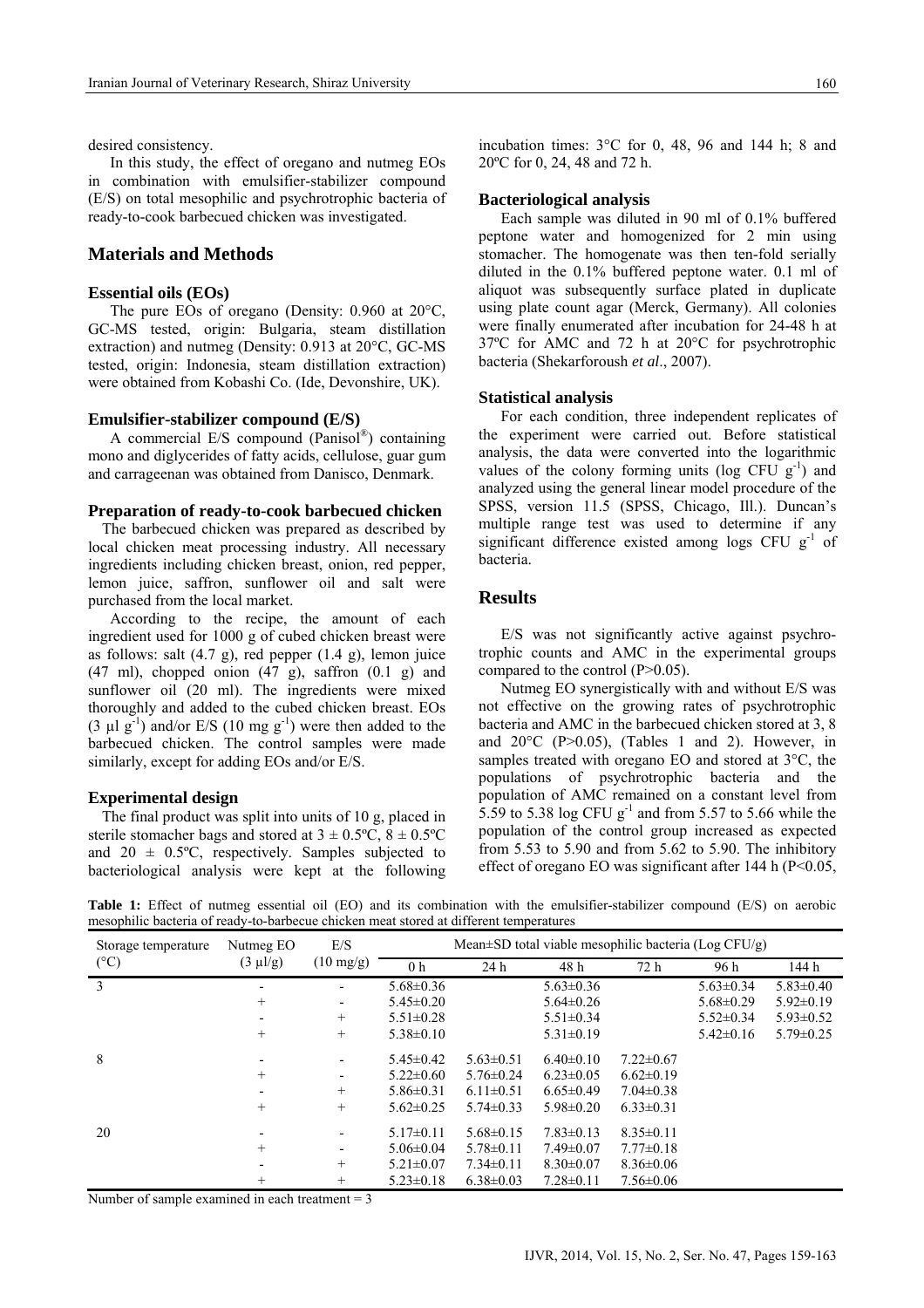desired consistency.

In this study, the effect of oregano and nutmeg EOs in combination with emulsifier-stabilizer compound (E/S) on total mesophilic and psychrotrophic bacteria of ready-to-cook barbecued chicken was investigated.

## **Materials and Methods**

#### **Essential oils (EOs)**

The pure EOs of oregano (Density: 0.960 at 20°C, GC-MS tested, origin: Bulgaria, steam distillation extraction) and nutmeg (Density: 0.913 at 20°C, GC-MS tested, origin: Indonesia, steam distillation extraction) were obtained from Kobashi Co. (Ide, Devonshire, UK).

## **Emulsifier-stabilizer compound (E/S)**

A commercial E/S compound (Panisol®) containing mono and diglycerides of fatty acids, cellulose, guar gum and carrageenan was obtained from Danisco, Denmark.

#### **Preparation of ready-to-cook barbecued chicken**

 The barbecued chicken was prepared as described by local chicken meat processing industry. All necessary ingredients including chicken breast, onion, red pepper, lemon juice, saffron, sunflower oil and salt were purchased from the local market.

According to the recipe, the amount of each ingredient used for 1000 g of cubed chicken breast were as follows: salt (4.7 g), red pepper (1.4 g), lemon juice (47 ml), chopped onion (47 g), saffron (0.1 g) and sunflower oil (20 ml). The ingredients were mixed thoroughly and added to the cubed chicken breast. EOs (3  $\mu$ l g<sup>-1</sup>) and/or E/S (10 mg g<sup>-1</sup>) were then added to the barbecued chicken. The control samples were made similarly, except for adding EOs and/or E/S.

## **Experimental design**

 The final product was split into units of 10 g, placed in sterile stomacher bags and stored at  $3 \pm 0.5^{\circ}\text{C}$ ,  $8 \pm 0.5^{\circ}\text{C}$ and  $20 \pm 0.5^{\circ}$ C, respectively. Samples subjected to bacteriological analysis were kept at the following incubation times: 3°C for 0, 48, 96 and 144 h; 8 and 20ºC for 0, 24, 48 and 72 h.

#### **Bacteriological analysis**

Each sample was diluted in 90 ml of 0.1% buffered peptone water and homogenized for 2 min using stomacher. The homogenate was then ten-fold serially diluted in the 0.1% buffered peptone water. 0.1 ml of aliquot was subsequently surface plated in duplicate using plate count agar (Merck, Germany). All colonies were finally enumerated after incubation for 24-48 h at 37ºC for AMC and 72 h at 20°C for psychrotrophic bacteria (Shekarforoush *et al*., 2007).

#### **Statistical analysis**

For each condition, three independent replicates of the experiment were carried out. Before statistical analysis, the data were converted into the logarithmic values of the colony forming units (log CFU  $g^{-1}$ ) and analyzed using the general linear model procedure of the SPSS, version 11.5 (SPSS, Chicago, Ill.). Duncan's multiple range test was used to determine if any significant difference existed among logs CFU  $g^{-1}$  of bacteria.

## **Results**

E/S was not significantly active against psychrotrophic counts and AMC in the experimental groups compared to the control (P>0.05).

Nutmeg EO synergistically with and without E/S was not effective on the growing rates of psychrotrophic bacteria and AMC in the barbecued chicken stored at 3, 8 and  $20^{\circ}$ C (P $> 0.05$ ), (Tables 1 and 2). However, in samples treated with oregano EO and stored at 3°C, the populations of psychrotrophic bacteria and the population of AMC remained on a constant level from 5.59 to 5.38 log CFU  $g^{-1}$  and from 5.57 to 5.66 while the population of the control group increased as expected from 5.53 to 5.90 and from 5.62 to 5.90. The inhibitory effect of oregano EO was significant after 144 h  $(P<0.05$ ,

**Table 1:** Effect of nutmeg essential oil (EO) and its combination with the emulsifier-stabilizer compound (E/S) on aerobic mesophilic bacteria of ready-to-barbecue chicken meat stored at different temperatures

| Storage temperature<br>$(^{\circ}C)$ | Nutmeg EO<br>$(3 \mu l/g)$ | E/S<br>$(10 \text{ mg/g})$ | Mean $\pm$ SD total viable mesophilic bacteria (Log CFU/g) |                 |                 |                 |                 |                 |
|--------------------------------------|----------------------------|----------------------------|------------------------------------------------------------|-----------------|-----------------|-----------------|-----------------|-----------------|
|                                      |                            |                            | 0 <sub>h</sub>                                             | 24h             | 48 h            | 72h             | 96 h            | 144 h           |
| $\mathcal{E}$                        |                            |                            | $5.68 \pm 0.36$                                            |                 | $5.63 \pm 0.36$ |                 | $5.63 \pm 0.34$ | $5.83 \pm 0.40$ |
|                                      | $^{+}$                     | $\overline{\phantom{a}}$   | $5.45 \pm 0.20$                                            |                 | $5.64 \pm 0.26$ |                 | $5.68 \pm 0.29$ | $5.92 \pm 0.19$ |
|                                      |                            | $+$                        | $5.51 \pm 0.28$                                            |                 | $5.51 \pm 0.34$ |                 | $5.52 \pm 0.34$ | $5.93 \pm 0.52$ |
|                                      | $+$                        | $+$                        | $5.38 \pm 0.10$                                            |                 | $5.31 \pm 0.19$ |                 | $5.42 \pm 0.16$ | $5.79 \pm 0.25$ |
| 8                                    |                            |                            | $5.45 \pm 0.42$                                            | $5.63 \pm 0.51$ | $6.40\pm0.10$   | $7.22 \pm 0.67$ |                 |                 |
|                                      | $^{+}$                     | $\overline{\phantom{a}}$   | $5.22 \pm 0.60$                                            | $5.76 \pm 0.24$ | $6.23 \pm 0.05$ | $6.62 \pm 0.19$ |                 |                 |
|                                      |                            | $^{+}$                     | $5.86 \pm 0.31$                                            | $6.11 \pm 0.51$ | $6.65 \pm 0.49$ | $7.04 \pm 0.38$ |                 |                 |
|                                      | $^{+}$                     | $+$                        | $5.62 \pm 0.25$                                            | $5.74 \pm 0.33$ | $5.98 \pm 0.20$ | $6.33 \pm 0.31$ |                 |                 |
| 20                                   |                            |                            | $5.17\pm0.11$                                              | $5.68 \pm 0.15$ | $7.83 \pm 0.13$ | $8.35 \pm 0.11$ |                 |                 |
|                                      | $^{+}$                     | $\overline{\phantom{a}}$   | $5.06 \pm 0.04$                                            | $5.78 \pm 0.11$ | $7.49 \pm 0.07$ | $7.77 \pm 0.18$ |                 |                 |
|                                      |                            | $+$                        | $5.21 \pm 0.07$                                            | $7.34 \pm 0.11$ | $8.30 \pm 0.07$ | $8.36 \pm 0.06$ |                 |                 |
|                                      | $^+$                       | $^{+}$                     | $5.23 \pm 0.18$                                            | $6.38 \pm 0.03$ | $7.28 \pm 0.11$ | $7.56 \pm 0.06$ |                 |                 |

Number of sample examined in each treatment  $= 3$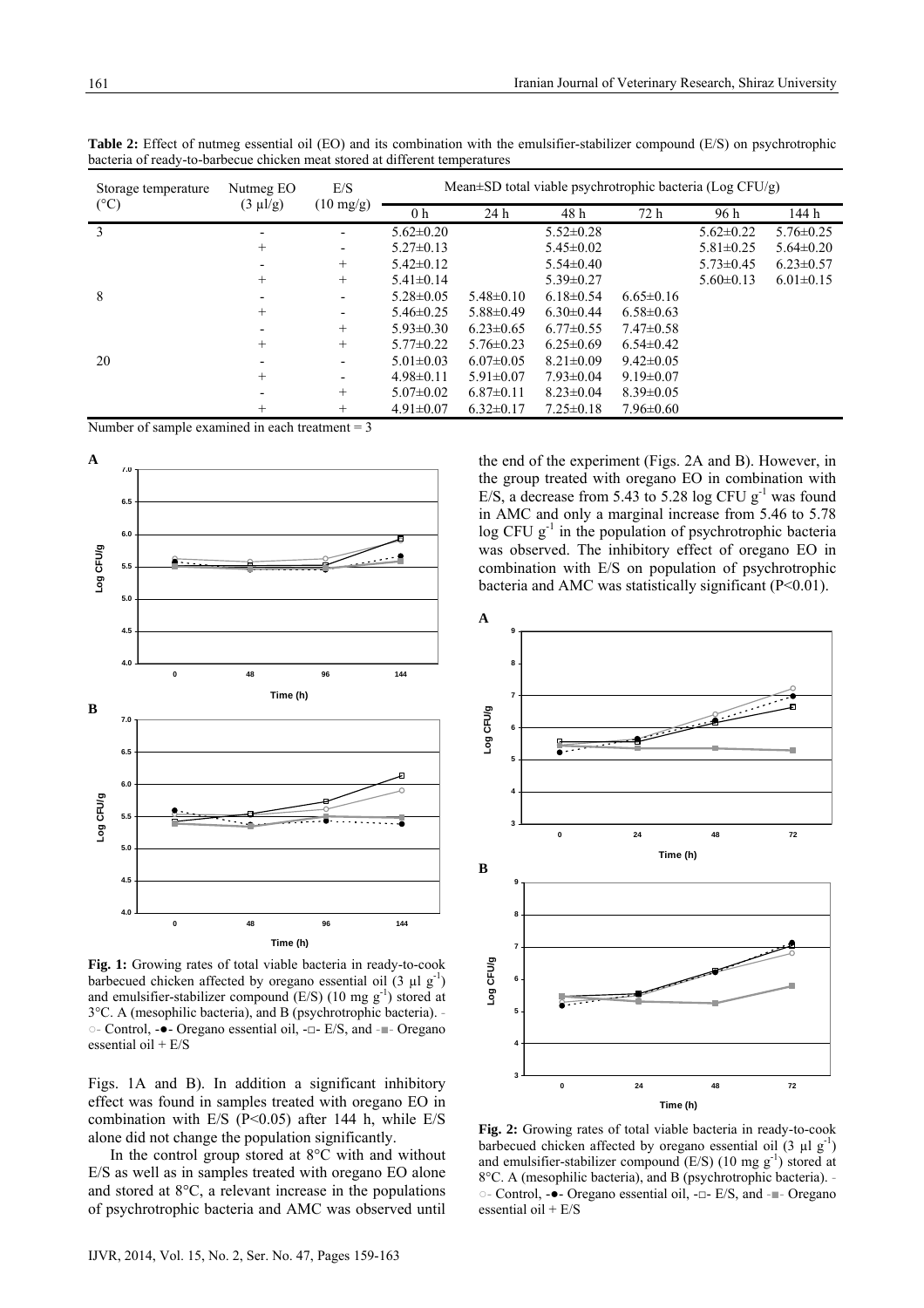| bacteria of ready-to-barbecue chicken meat stored at different temperatures |                            |                            |                                                                |                 |                 |                 |                 |                 |  |
|-----------------------------------------------------------------------------|----------------------------|----------------------------|----------------------------------------------------------------|-----------------|-----------------|-----------------|-----------------|-----------------|--|
| Storage temperature<br>$(^{\circ}C)$                                        | Nutmeg EO<br>$(3 \mu l/g)$ | E/S<br>$(10 \text{ mg/g})$ | Mean $\pm$ SD total viable psychrotrophic bacteria (Log CFU/g) |                 |                 |                 |                 |                 |  |
|                                                                             |                            |                            | 0 <sub>h</sub>                                                 | 24 h            | 48 h            | 72 h            | 96 h            | 144 h           |  |
|                                                                             |                            |                            | $5.62 \pm 0.20$                                                |                 | $5.52 \pm 0.28$ |                 | $5.62 \pm 0.22$ | $5.76 \pm 0.25$ |  |
|                                                                             | $\overline{+}$             |                            | $5.27 \pm 0.13$                                                |                 | $5.45 \pm 0.02$ |                 | $5.81 \pm 0.25$ | $5.64 \pm 0.20$ |  |
|                                                                             |                            | $^{+}$                     | $5.42 \pm 0.12$                                                |                 | $5.54 \pm 0.40$ |                 | $5.73 \pm 0.45$ | $6.23 \pm 0.57$ |  |
|                                                                             | $^{+}$                     | $^{+}$                     | $5.41 \pm 0.14$                                                |                 | $5.39 \pm 0.27$ |                 | $5.60 \pm 0.13$ | $6.01 \pm 0.15$ |  |
| 8                                                                           |                            |                            | $5.28 \pm 0.05$                                                | $5.48 \pm 0.10$ | $6.18\pm0.54$   | $6.65 \pm 0.16$ |                 |                 |  |
|                                                                             | $^+$                       | ٠                          | $5.46 \pm 0.25$                                                | $5.88 \pm 0.49$ | $6.30\pm0.44$   | $6.58 \pm 0.63$ |                 |                 |  |
|                                                                             |                            | $^{+}$                     | $5.93 \pm 0.30$                                                | $6.23 \pm 0.65$ | $6.77 \pm 0.55$ | $7.47\pm0.58$   |                 |                 |  |
|                                                                             | $^{+}$                     | $^{+}$                     | $5.77 \pm 0.22$                                                | $5.76 \pm 0.23$ | $6.25 \pm 0.69$ | $6.54 \pm 0.42$ |                 |                 |  |
| 20                                                                          |                            |                            | $5.01 \pm 0.03$                                                | $6.07 \pm 0.05$ | $8.21 \pm 0.09$ | $9.42 \pm 0.05$ |                 |                 |  |
|                                                                             | $^+$                       |                            | $498\pm0.11$                                                   | 5 91 $\pm$ 0 07 | $793\pm0.04$    | $919\pm0.07$    |                 |                 |  |

 $+$   $+$   $+$   $4.91 \pm 0.07$   $6.32 \pm 0.17$   $7.25 \pm 0.18$   $7.96 \pm 0.60$ 

 $5.07 \pm 0.02$   $6.87 \pm 0.11$   $8.23 \pm 0.04$   $8.39 \pm 0.05$ 

**Table 2:** Effect of nutmeg essential oil (EO) and its combination with the emulsifier-stabilizer compound (E/S) on psychrotrophic bacteria of ready-to-barbecue chicken meat stored at different temperatures

Number of sample examined in each treatment  $= 3$ 



**Fig. 1:** Growing rates of total viable bacteria in ready-to-cook barbecued chicken affected by oregano essential oil  $(3 \mu \lg^{-1})$ and emulsifier-stabilizer compound  $(E/S)$  (10 mg g<sup>-1</sup>) stored at 3°C. A (mesophilic bacteria), and B (psychrotrophic bacteria). - ○- Control, -●- Oregano essential oil, -□- E/S, and -■- Oregano essential oil + E/S

Figs. 1A and B). In addition a significant inhibitory effect was found in samples treated with oregano EO in combination with E/S ( $P \le 0.05$ ) after 144 h, while E/S alone did not change the population significantly.

In the control group stored at 8°C with and without E/S as well as in samples treated with oregano EO alone and stored at 8°C, a relevant increase in the populations of psychrotrophic bacteria and AMC was observed until

the end of the experiment (Figs. 2A and B). However, in the group treated with oregano EO in combination with E/S, a decrease from 5.43 to 5.28 log CFU  $g^{-1}$  was found in AMC and only a marginal increase from 5.46 to 5.78  $\log$  CFU g<sup>-1</sup> in the population of psychrotrophic bacteria was observed. The inhibitory effect of oregano EO in combination with E/S on population of psychrotrophic bacteria and AMC was statistically significant (P<0.01).



**Fig. 2:** Growing rates of total viable bacteria in ready-to-cook barbecued chicken affected by oregano essential oil  $(3 \mu 1 \text{ g}^{-1})$ and emulsifier-stabilizer compound  $(E/S)$  (10 mg  $g^{-1}$ ) stored at 8°C. A (mesophilic bacteria), and B (psychrotrophic bacteria). - ○- Control, -●- Oregano essential oil, -□- E/S, and -■- Oregano essential oil + E/S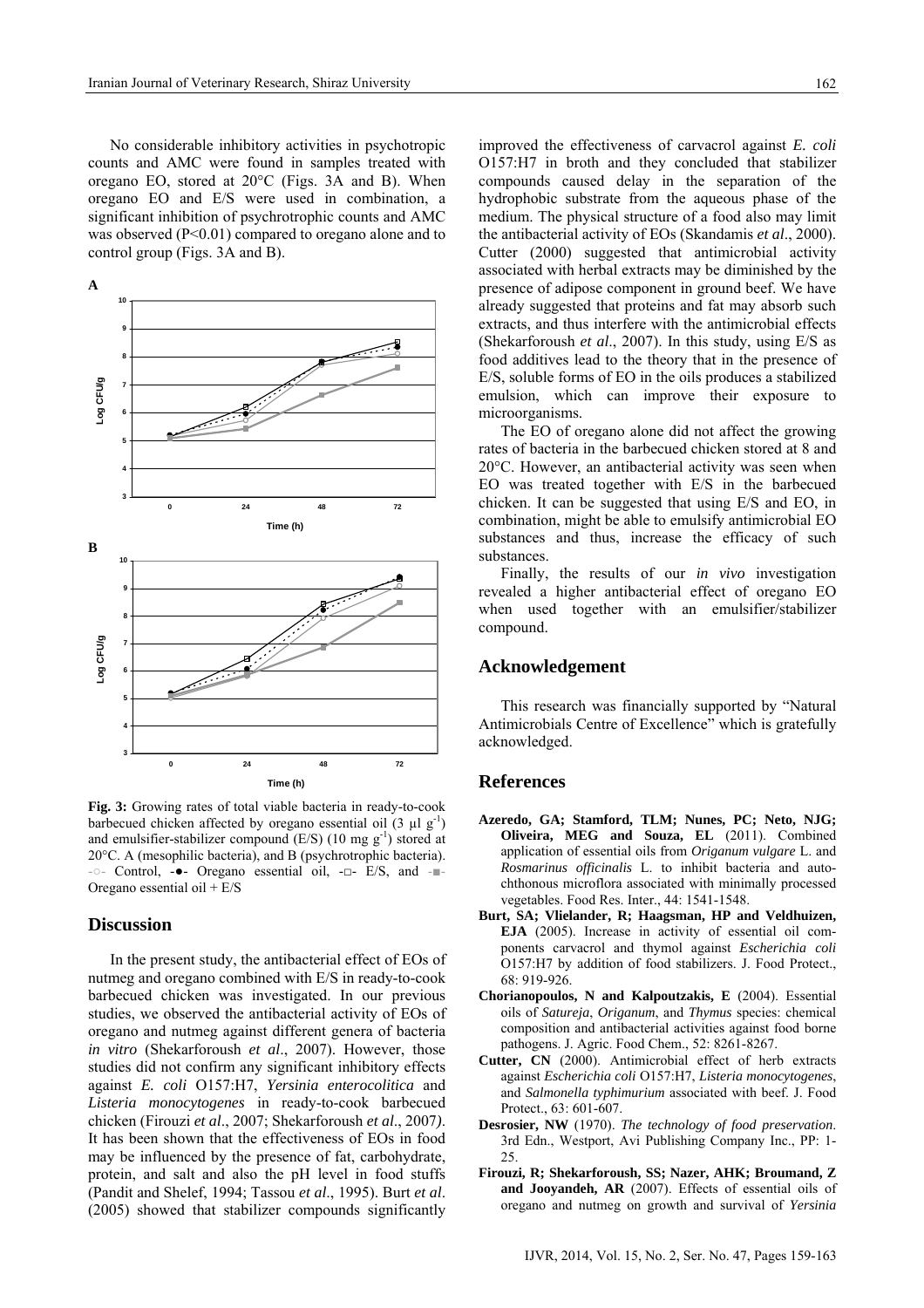No considerable inhibitory activities in psychotropic counts and AMC were found in samples treated with oregano EO, stored at 20°C (Figs. 3A and B). When oregano EO and E/S were used in combination, a significant inhibition of psychrotrophic counts and AMC was observed (P<0.01) compared to oregano alone and to control group (Figs. 3A and B).



**Fig. 3:** Growing rates of total viable bacteria in ready-to-cook barbecued chicken affected by oregano essential oil  $(3 \mu 1 g^{-1})$ and emulsifier-stabilizer compound  $(E/S)$  (10 mg  $g^{-1}$ ) stored at 20°C. A (mesophilic bacteria), and B (psychrotrophic bacteria). -○- Control, -●- Oregano essential oil, -□- E/S, and -■- Oregano essential oil + E/S

# **Discussion**

In the present study, the antibacterial effect of EOs of nutmeg and oregano combined with E/S in ready-to-cook barbecued chicken was investigated. In our previous studies, we observed the antibacterial activity of EOs of oregano and nutmeg against different genera of bacteria *in vitro* (Shekarforoush *et al*., 2007). However, those studies did not confirm any significant inhibitory effects against *E. coli* O157:H7, *Yersinia enterocolitica* and *Listeria monocytogenes* in ready-to-cook barbecued chicken (Firouzi *et al*., 2007; Shekarforoush *et al*., 2007*)*. It has been shown that the effectiveness of EOs in food may be influenced by the presence of fat, carbohydrate, protein, and salt and also the pH level in food stuffs (Pandit and Shelef, 1994; Tassou *et al*., 1995). Burt *et al*. (2005) showed that stabilizer compounds significantly

improved the effectiveness of carvacrol against *E. coli* O157:H7 in broth and they concluded that stabilizer compounds caused delay in the separation of the hydrophobic substrate from the aqueous phase of the medium. The physical structure of a food also may limit the antibacterial activity of EOs (Skandamis *et al*., 2000). Cutter (2000) suggested that antimicrobial activity associated with herbal extracts may be diminished by the presence of adipose component in ground beef. We have already suggested that proteins and fat may absorb such extracts, and thus interfere with the antimicrobial effects (Shekarforoush *et al*., 2007). In this study, using E/S as food additives lead to the theory that in the presence of E/S, soluble forms of EO in the oils produces a stabilized emulsion, which can improve their exposure to microorganisms.

The EO of oregano alone did not affect the growing rates of bacteria in the barbecued chicken stored at 8 and 20°C. However, an antibacterial activity was seen when EO was treated together with E/S in the barbecued chicken. It can be suggested that using E/S and EO, in combination, might be able to emulsify antimicrobial EO substances and thus, increase the efficacy of such substances.

Finally, the results of our *in vivo* investigation revealed a higher antibacterial effect of oregano EO when used together with an emulsifier/stabilizer compound.

## **Acknowledgement**

This research was financially supported by "Natural Antimicrobials Centre of Excellence" which is gratefully acknowledged.

## **References**

- **Azeredo, GA; Stamford, TLM; Nunes, PC; Neto, NJG; Oliveira, MEG and Souza, EL** (2011). Combined application of essential oils from *Origanum vulgare* L. and *Rosmarinus officinalis* L. to inhibit bacteria and autochthonous microflora associated with minimally processed vegetables. Food Res. Inter., 44: 1541-1548.
- **Burt, SA; Vlielander, R; Haagsman, HP and Veldhuizen, EJA** (2005). Increase in activity of essential oil components carvacrol and thymol against *Escherichia coli* O157:H7 by addition of food stabilizers. J. Food Protect., 68: 919-926.
- **Chorianopoulos, N and Kalpoutzakis, E** (2004). Essential oils of *Satureja*, *Origanum*, and *Thymus* species: chemical composition and antibacterial activities against food borne pathogens. J. Agric. Food Chem., 52: 8261-8267.
- **Cutter, CN** (2000). Antimicrobial effect of herb extracts against *Escherichia coli* O157:H7, *Listeria monocytogenes*, and *Salmonella typhimurium* associated with beef. J. Food Protect., 63: 601-607.
- **Desrosier, NW** (1970). *The technology of food preservation*. 3rd Edn., Westport, Avi Publishing Company Inc., PP: 1-  $25$
- **Firouzi, R; Shekarforoush, SS; Nazer, AHK; Broumand, Z and Jooyandeh, AR** (2007). Effects of essential oils of oregano and nutmeg on growth and survival of *Yersinia*